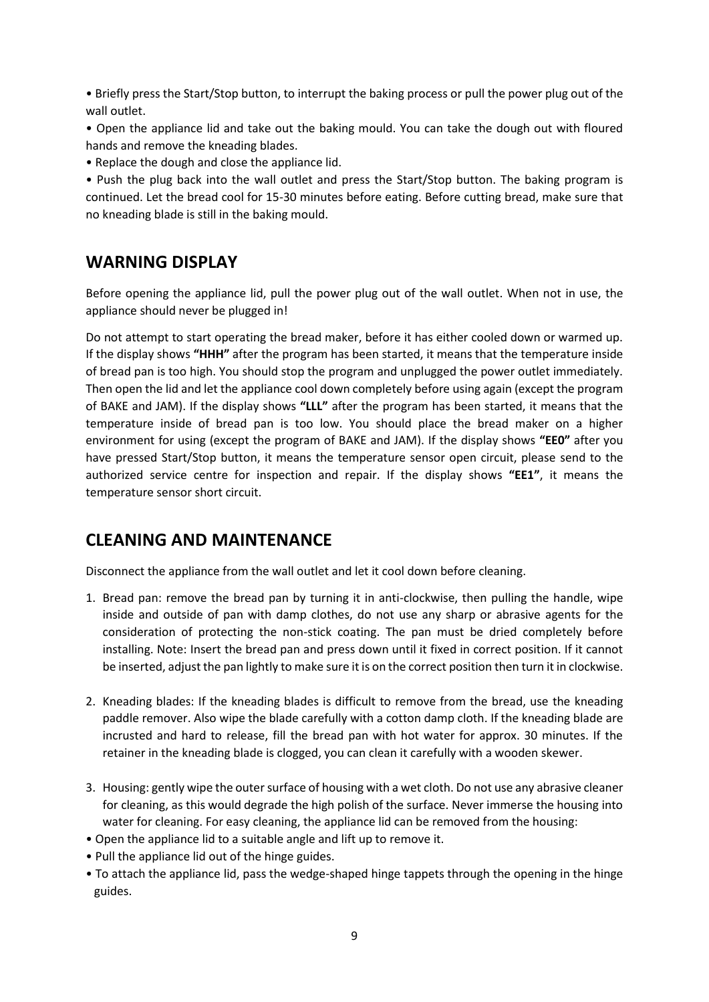• Briefly press the Start/Stop button, to interrupt the baking process or pull the power plug out of the wall outlet.

• Open the appliance lid and take out the baking mould. You can take the dough out with floured hands and remove the kneading blades.

• Replace the dough and close the appliance lid.

• Push the plug back into the wall outlet and press the Start/Stop button. The baking program is continued. Let the bread cool for 15-30 minutes before eating. Before cutting bread, make sure that no kneading blade is still in the baking mould.

## **WARNING DISPLAY**

Before opening the appliance lid, pull the power plug out of the wall outlet. When not in use, the appliance should never be plugged in!

Do not attempt to start operating the bread maker, before it has either cooled down or warmed up. If the display shows **"HHH"** after the program has been started, it means that the temperature inside of bread pan is too high. You should stop the program and unplugged the power outlet immediately. Then open the lid and let the appliance cool down completely before using again (except the program of BAKE and JAM). If the display shows **"LLL"** after the program has been started, it means that the temperature inside of bread pan is too low. You should place the bread maker on a higher environment for using (except the program of BAKE and JAM). If the display shows **"EE0"** after you have pressed Start/Stop button, it means the temperature sensor open circuit, please send to the authorized service centre for inspection and repair. If the display shows **"EE1"**, it means the temperature sensor short circuit.

## **CLEANING AND MAINTENANCE**

Disconnect the appliance from the wall outlet and let it cool down before cleaning.

- 1. Bread pan: remove the bread pan by turning it in anti-clockwise, then pulling the handle, wipe inside and outside of pan with damp clothes, do not use any sharp or abrasive agents for the consideration of protecting the non-stick coating. The pan must be dried completely before installing. Note: Insert the bread pan and press down until it fixed in correct position. If it cannot be inserted, adjust the pan lightly to make sure it is on the correct position then turn it in clockwise.
- 2. Kneading blades: If the kneading blades is difficult to remove from the bread, use the kneading paddle remover. Also wipe the blade carefully with a cotton damp cloth. If the kneading blade are incrusted and hard to release, fill the bread pan with hot water for approx. 30 minutes. If the retainer in the kneading blade is clogged, you can clean it carefully with a wooden skewer.
- 3. Housing: gently wipe the outer surface of housing with a wet cloth. Do not use any abrasive cleaner for cleaning, as this would degrade the high polish of the surface. Never immerse the housing into water for cleaning. For easy cleaning, the appliance lid can be removed from the housing:
- Open the appliance lid to a suitable angle and lift up to remove it.
- Pull the appliance lid out of the hinge guides.
- To attach the appliance lid, pass the wedge-shaped hinge tappets through the opening in the hinge guides.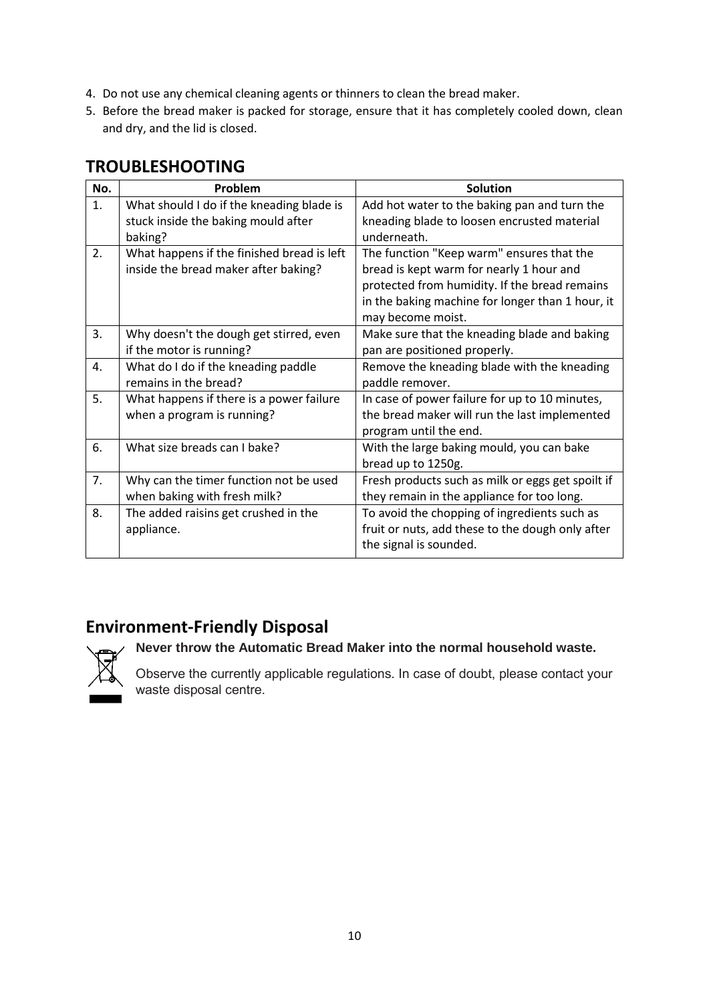- 4. Do not use any chemical cleaning agents or thinners to clean the bread maker.
- 5. Before the bread maker is packed for storage, ensure that it has completely cooled down, clean and dry, and the lid is closed.

|  | <b>TROUBLESHOOTING</b> |  |  |
|--|------------------------|--|--|
|--|------------------------|--|--|

| No. | Problem                                    | <b>Solution</b>                                   |
|-----|--------------------------------------------|---------------------------------------------------|
| 1.  | What should I do if the kneading blade is  | Add hot water to the baking pan and turn the      |
|     | stuck inside the baking mould after        | kneading blade to loosen encrusted material       |
|     | baking?                                    | underneath.                                       |
| 2.  | What happens if the finished bread is left | The function "Keep warm" ensures that the         |
|     | inside the bread maker after baking?       | bread is kept warm for nearly 1 hour and          |
|     |                                            | protected from humidity. If the bread remains     |
|     |                                            | in the baking machine for longer than 1 hour, it  |
|     |                                            | may become moist.                                 |
| 3.  | Why doesn't the dough get stirred, even    | Make sure that the kneading blade and baking      |
|     | if the motor is running?                   | pan are positioned properly.                      |
| 4.  | What do I do if the kneading paddle        | Remove the kneading blade with the kneading       |
|     | remains in the bread?                      | paddle remover.                                   |
| 5.  | What happens if there is a power failure   | In case of power failure for up to 10 minutes,    |
|     | when a program is running?                 | the bread maker will run the last implemented     |
|     |                                            | program until the end.                            |
| 6.  | What size breads can I bake?               | With the large baking mould, you can bake         |
|     |                                            | bread up to 1250g.                                |
| 7.  | Why can the timer function not be used     | Fresh products such as milk or eggs get spoilt if |
|     | when baking with fresh milk?               | they remain in the appliance for too long.        |
| 8.  | The added raisins get crushed in the       | To avoid the chopping of ingredients such as      |
|     | appliance.                                 | fruit or nuts, add these to the dough only after  |
|     |                                            | the signal is sounded.                            |

## **Environment-Friendly Disposal**



## **Never throw the Automatic Bread Maker into the normal household waste.**

Observe the currently applicable regulations. In case of doubt, please contact your waste disposal centre.